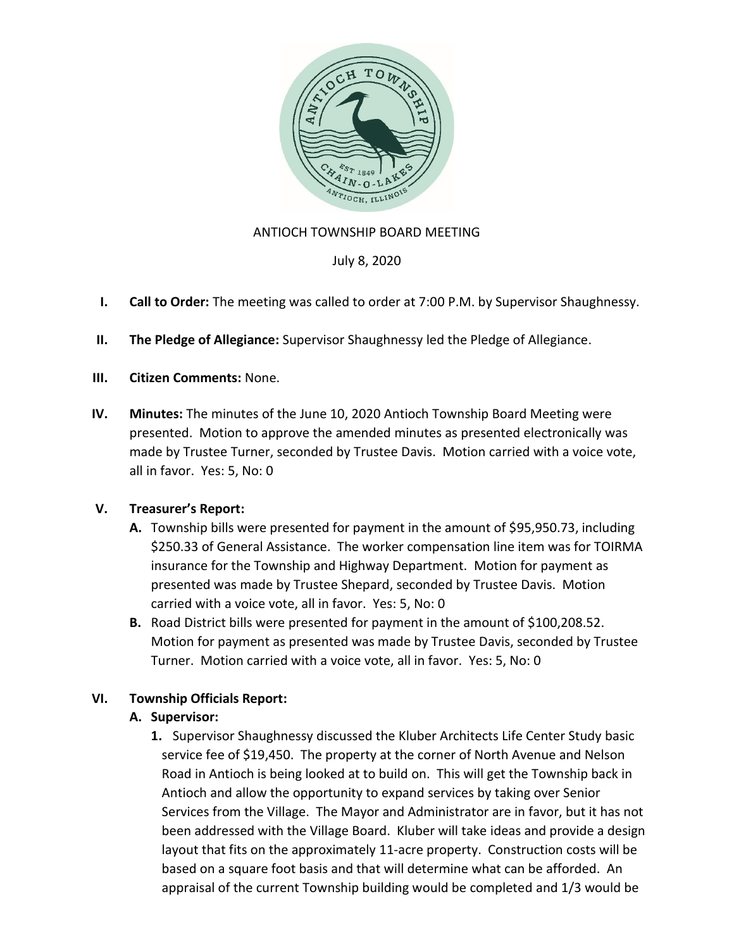

## ANTIOCH TOWNSHIP BOARD MEETING

July 8, 2020

- **I. Call to Order:** The meeting was called to order at 7:00 P.M. by Supervisor Shaughnessy.
- **II. The Pledge of Allegiance:** Supervisor Shaughnessy led the Pledge of Allegiance.
- **III. Citizen Comments:** None.
- **IV. Minutes:** The minutes of the June 10, 2020 Antioch Township Board Meeting were presented. Motion to approve the amended minutes as presented electronically was made by Trustee Turner, seconded by Trustee Davis. Motion carried with a voice vote, all in favor. Yes: 5, No: 0

## **V. Treasurer's Report:**

- **A.** Township bills were presented for payment in the amount of \$95,950.73, including \$250.33 of General Assistance. The worker compensation line item was for TOIRMA insurance for the Township and Highway Department. Motion for payment as presented was made by Trustee Shepard, seconded by Trustee Davis. Motion carried with a voice vote, all in favor. Yes: 5, No: 0
- **B.** Road District bills were presented for payment in the amount of \$100,208.52. Motion for payment as presented was made by Trustee Davis, seconded by Trustee Turner. Motion carried with a voice vote, all in favor. Yes: 5, No: 0

# **VI. Township Officials Report:**

## **A. Supervisor:**

**1.** Supervisor Shaughnessy discussed the Kluber Architects Life Center Study basic service fee of \$19,450. The property at the corner of North Avenue and Nelson Road in Antioch is being looked at to build on. This will get the Township back in Antioch and allow the opportunity to expand services by taking over Senior Services from the Village. The Mayor and Administrator are in favor, but it has not been addressed with the Village Board. Kluber will take ideas and provide a design layout that fits on the approximately 11-acre property. Construction costs will be based on a square foot basis and that will determine what can be afforded. An appraisal of the current Township building would be completed and 1/3 would be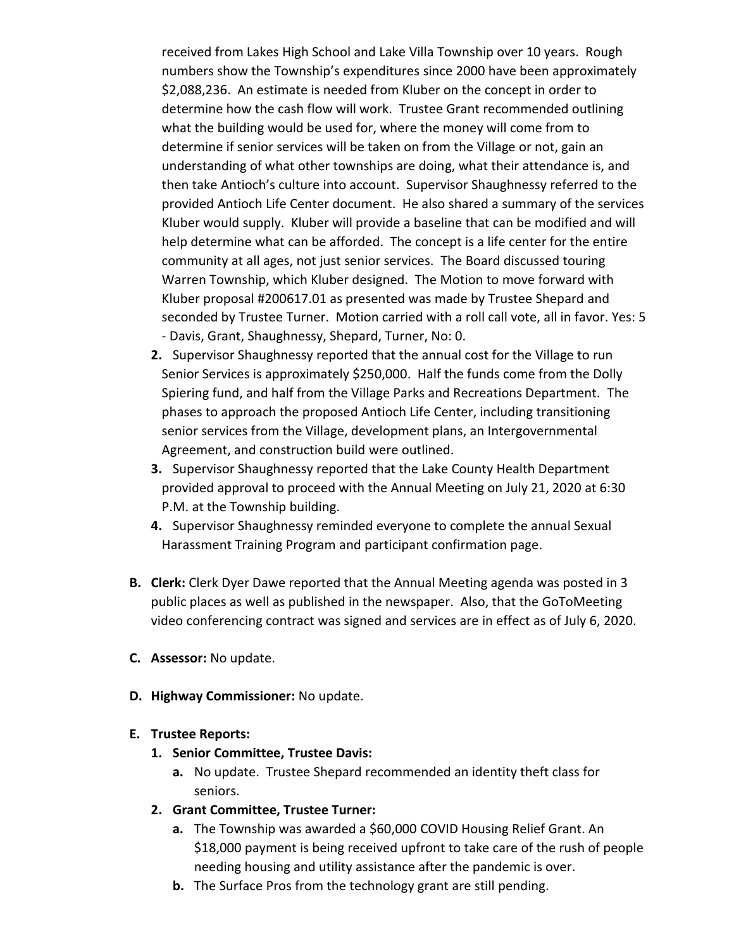received from Lakes High School and Lake Villa Township over 10 years. Rough numbers show the Township's expenditures since 2000 have been approximately \$2,088,236. An estimate is needed from Kluber on the concept in order to determine how the cash flow will work. Trustee Grant recommended outlining what the building would be used for, where the money will come from to determine if senior services will be taken on from the Village or not, gain an understanding of what other townships are doing, what their attendance is, and then take Antioch's culture into account. Supervisor Shaughnessy referred to the provided Antioch Life Center document. He also shared a summary of the services Kluber would supply. Kluber will provide a baseline that can be modified and will help determine what can be afforded. The concept is a life center for the entire community at all ages, not just senior services. The Board discussed touring Warren Township, which Kluber designed. The Motion to move forward with Kluber proposal #200617.01 as presented was made by Trustee Shepard and seconded by Trustee Turner. Motion carried with a roll call vote, all in favor. Yes: 5 - Davis, Grant, Shaughnessy, Shepard, Turner, No: 0.

- **2.** Supervisor Shaughnessy reported that the annual cost for the Village to run Senior Services is approximately \$250,000. Half the funds come from the Dolly Spiering fund, and half from the Village Parks and Recreations Department. The phases to approach the proposed Antioch Life Center, including transitioning senior services from the Village, development plans, an Intergovernmental Agreement, and construction build were outlined.
- **3.** Supervisor Shaughnessy reported that the Lake County Health Department provided approval to proceed with the Annual Meeting on July 21, 2020 at 6:30 P.M. at the Township building.
- **4.** Supervisor Shaughnessy reminded everyone to complete the annual Sexual Harassment Training Program and participant confirmation page.
- **B. Clerk:** Clerk Dyer Dawe reported that the Annual Meeting agenda was posted in 3 public places as well as published in the newspaper. Also, that the GoToMeeting video conferencing contract was signed and services are in effect as of July 6, 2020.
- **C. Assessor:** No update.
- **D. Highway Commissioner:** No update.

## **E. Trustee Reports:**

- **1. Senior Committee, Trustee Davis:**
	- **a.** No update. Trustee Shepard recommended an identity theft class for seniors.
- **2. Grant Committee, Trustee Turner:** 
	- **a.** The Township was awarded a \$60,000 COVID Housing Relief Grant. An \$18,000 payment is being received upfront to take care of the rush of people needing housing and utility assistance after the pandemic is over.
	- **b.** The Surface Pros from the technology grant are still pending.